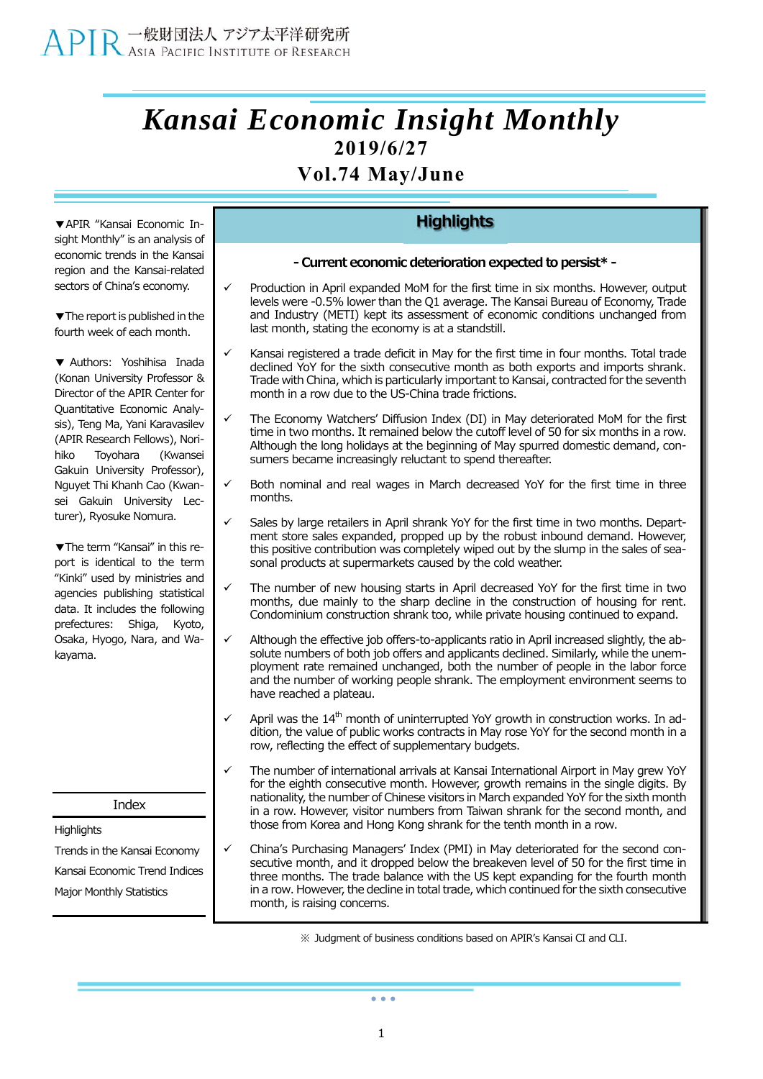# *Kansai Economic Insight Monthly*  **2019/6/27**

## **Vol.74 May/June**

**▼**APIR "Kansai Economic Insight Monthly" is an analysis of economic trends in the Kansai region and the Kansai-related sectors of China's economy.

**▼**The report is published in the fourth week of each month.

**▼** Authors: Yoshihisa Inada (Konan University Professor & Director of the APIR Center for Quantitative Economic Analysis), Teng Ma, Yani Karavasilev (APIR Research Fellows), Norihiko Toyohara (Kwansei Gakuin University Professor), Nguyet Thi Khanh Cao (Kwansei Gakuin University Lecturer), Ryosuke Nomura.

**▼**The term "Kansai" in this report is identical to the term "Kinki" used by ministries and agencies publishing statistical data. It includes the following prefectures: Shiga, Kyoto, Osaka, Hyogo, Nara, and Wakayama.

Index

**Highlights** 

Trends in the Kansai Economy Kansai Economic Trend Indices Major Monthly Statistics

## **Highlights**

- **- Current economic deterioration expected to persist\***
- Production in April expanded MoM for the first time in six months. However, output levels were -0.5% lower than the Q1 average. The Kansai Bureau of Economy, Trade and Industry (METI) kept its assessment of economic conditions unchanged from last month, stating the economy is at a standstill.
- Kansai registered a trade deficit in May for the first time in four months. Total trade declined YoY for the sixth consecutive month as both exports and imports shrank. Trade with China, which is particularly important to Kansai, contracted for the seventh month in a row due to the US-China trade frictions.
- The Economy Watchers' Diffusion Index (DI) in May deteriorated MoM for the first time in two months. It remained below the cutoff level of 50 for six months in a row. Although the long holidays at the beginning of May spurred domestic demand, consumers became increasingly reluctant to spend thereafter.
- Both nominal and real wages in March decreased YoY for the first time in three months.
- Sales by large retailers in April shrank YoY for the first time in two months. Department store sales expanded, propped up by the robust inbound demand. However, this positive contribution was completely wiped out by the slump in the sales of seasonal products at supermarkets caused by the cold weather.
- The number of new housing starts in April decreased YoY for the first time in two months, due mainly to the sharp decline in the construction of housing for rent. Condominium construction shrank too, while private housing continued to expand.
- Although the effective job offers-to-applicants ratio in April increased slightly, the absolute numbers of both job offers and applicants declined. Similarly, while the unemployment rate remained unchanged, both the number of people in the labor force and the number of working people shrank. The employment environment seems to have reached a plateau.
- April was the  $14<sup>th</sup>$  month of uninterrupted YoY growth in construction works. In addition, the value of public works contracts in May rose YoY for the second month in a row, reflecting the effect of supplementary budgets.
- The number of international arrivals at Kansai International Airport in May grew YoY for the eighth consecutive month. However, growth remains in the single digits. By nationality, the number of Chinese visitors in March expanded YoY for the sixth month in a row. However, visitor numbers from Taiwan shrank for the second month, and those from Korea and Hong Kong shrank for the tenth month in a row.
- China's Purchasing Managers' Index (PMI) in May deteriorated for the second consecutive month, and it dropped below the breakeven level of 50 for the first time in three months. The trade balance with the US kept expanding for the fourth month in a row. However, the decline in total trade, which continued for the sixth consecutive month, is raising concerns.

※ Judgment of business conditions based on APIR's Kansai CI and CLI.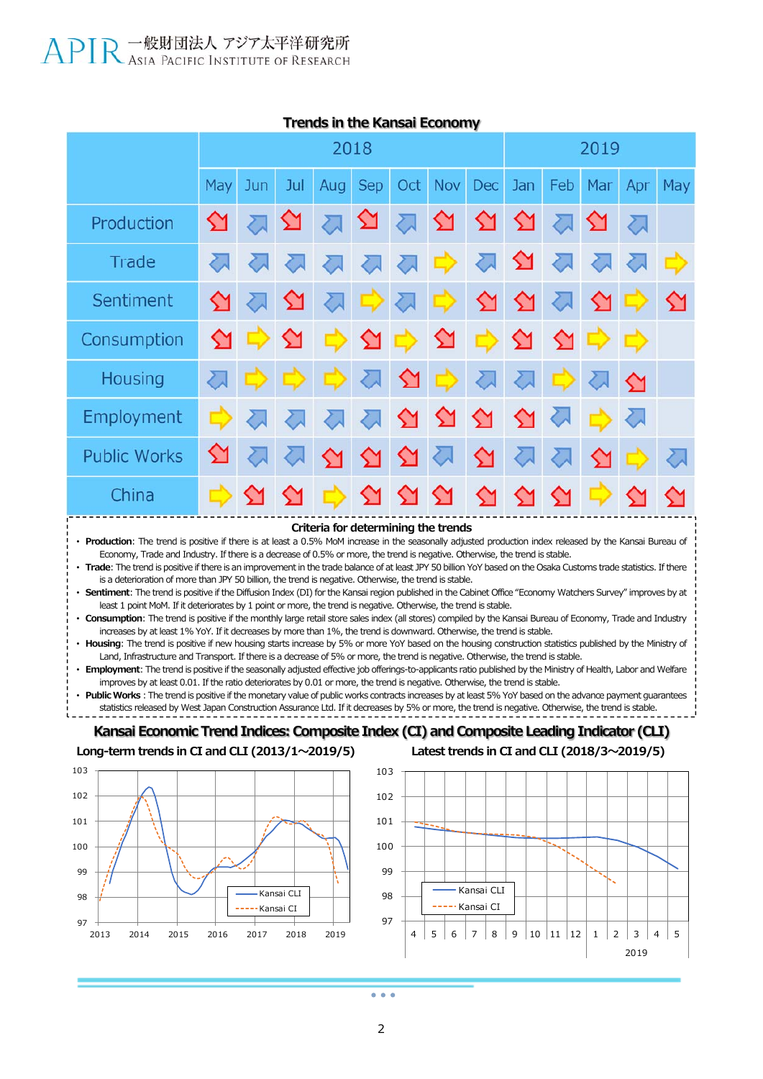

#### **Trends in the Kansai Economy**

**Criteria for determining the trends**

• **Production**: The trend is positive if there is at least a 0.5% MoM increase in the seasonally adjusted production index released by the Kansai Bureau of Economy, Trade and Industry. If there is a decrease of 0.5% or more, the trend is negative. Otherwise, the trend is stable.

• **Trade**: The trend is positive if there is an improvement in the trade balance of at least JPY 50 billion YoY based on the Osaka Customs trade statistics. If there is a deterioration of more than JPY 50 billion, the trend is negative. Otherwise, the trend is stable.

• **Sentiment**: The trend is positive if the Diffusion Index (DI) for the Kansai region published in the Cabinet Office "Economy Watchers Survey" improves by at least 1 point MoM. If it deteriorates by 1 point or more, the trend is negative. Otherwise, the trend is stable.

• **Consumption**: The trend is positive if the monthly large retail store sales index (all stores) compiled by the Kansai Bureau of Economy, Trade and Industry increases by at least 1% YoY. If it decreases by more than 1%, the trend is downward. Otherwise, the trend is stable.

• **Housing**: The trend is positive if new housing starts increase by 5% or more YoY based on the housing construction statistics published by the Ministry of Land, Infrastructure and Transport. If there is a decrease of 5% or more, the trend is negative. Otherwise, the trend is stable.

• **Employment**: The trend is positive if the seasonally adjusted effective job offerings-to-applicants ratio published by the Ministry of Health, Labor and Welfare improves by at least 0.01. If the ratio deteriorates by 0.01 or more, the trend is negative. Otherwise, the trend is stable.

Public Works: The trend is positive if the monetary value of public works contracts increases by at least 5% YoY based on the advance payment quarantees statistics released by West Japan Construction Assurance Ltd. If it decreases by 5% or more, the trend is negative. Otherwise, the trend is stable.

#### **Kansai Economic Trend Indices: Composite Index (CI) and Composite Leading Indicator (CLI) Long-term trends in CI and CLI (2013/1〜2019/5) Latest trends in CI and CLI (2018/3〜2019/5)**

102 103





2